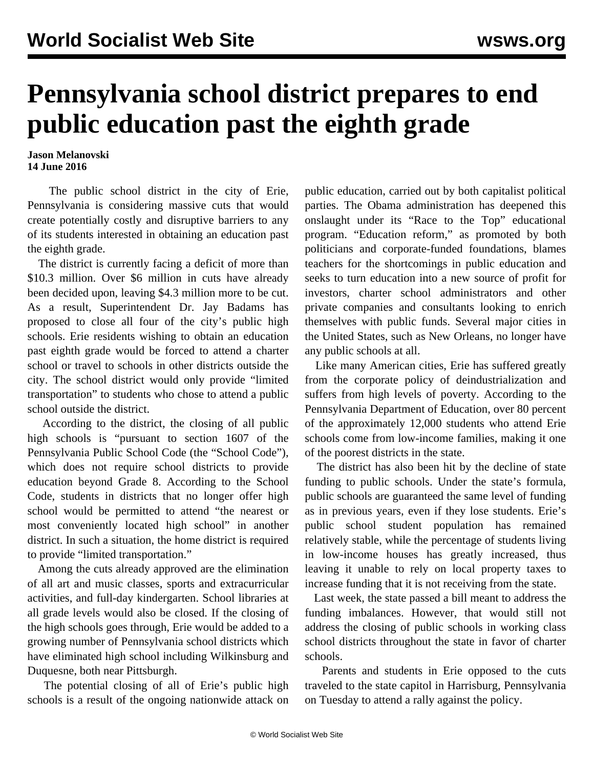## **Pennsylvania school district prepares to end public education past the eighth grade**

## **Jason Melanovski 14 June 2016**

 The public school district in the city of Erie, Pennsylvania is considering massive cuts that would create potentially costly and disruptive barriers to any of its students interested in obtaining an education past the eighth grade.

 The district is currently facing a deficit of more than \$10.3 million. Over \$6 million in cuts have already been decided upon, leaving \$4.3 million more to be cut. As a result, Superintendent Dr. Jay Badams has proposed to close all four of the city's public high schools. Erie residents wishing to obtain an education past eighth grade would be forced to attend a charter school or travel to schools in other districts outside the city. The school district would only provide "limited transportation" to students who chose to attend a public school outside the district.

 According to the district, the closing of all public high schools is "pursuant to section 1607 of the Pennsylvania Public School Code (the "School Code"), which does not require school districts to provide education beyond Grade 8. According to the School Code, students in districts that no longer offer high school would be permitted to attend "the nearest or most conveniently located high school" in another district. In such a situation, the home district is required to provide "limited transportation."

 Among the cuts already approved are the elimination of all art and music classes, sports and extracurricular activities, and full-day kindergarten. School libraries at all grade levels would also be closed. If the closing of the high schools goes through, Erie would be added to a growing number of Pennsylvania school districts which have eliminated high school including Wilkinsburg and Duquesne, both near Pittsburgh.

 The potential closing of all of Erie's public high schools is a result of the ongoing nationwide attack on public education, carried out by both capitalist political parties. The Obama administration has deepened this onslaught under its "Race to the Top" educational program. "Education reform," as promoted by both politicians and corporate-funded foundations, blames teachers for the shortcomings in public education and seeks to turn education into a new source of profit for investors, charter school administrators and other private companies and consultants looking to enrich themselves with public funds. Several major cities in the United States, such as New Orleans, no longer have any public schools at all.

 Like many American cities, Erie has suffered greatly from the corporate policy of deindustrialization and suffers from high levels of poverty. According to the Pennsylvania Department of Education, over 80 percent of the approximately 12,000 students who attend Erie schools come from low-income families, making it one of the poorest districts in the state.

 The district has also been hit by the decline of state funding to public schools. Under the state's formula, public schools are guaranteed the same level of funding as in previous years, even if they lose students. Erie's public school student population has remained relatively stable, while the percentage of students living in low-income houses has greatly increased, thus leaving it unable to rely on local property taxes to increase funding that it is not receiving from the state.

 Last week, the state passed a bill meant to address the funding imbalances. However, that would still not address the closing of public schools in working class school districts throughout the state in favor of charter schools.

 Parents and students in Erie opposed to the cuts traveled to the state capitol in Harrisburg, Pennsylvania on Tuesday to attend a rally against the policy.